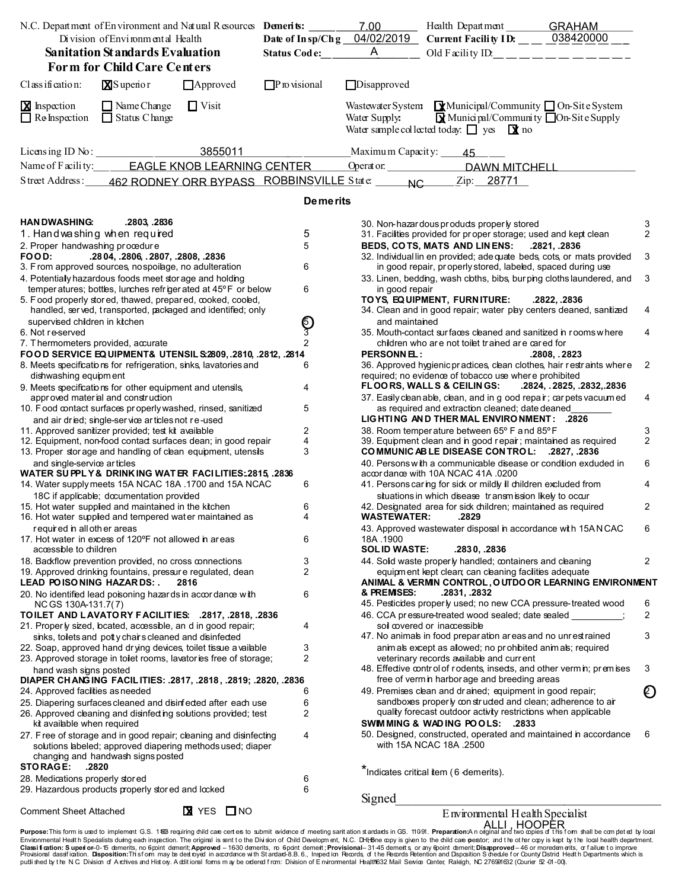|                                                                   |                                                                                                                           |                   | N.C. Department of Environment and Natural Resources Demerits: | 7.00                                                                                                                   | Health Department                                                                                                                   | <b>GRAHAM</b> |                     |
|-------------------------------------------------------------------|---------------------------------------------------------------------------------------------------------------------------|-------------------|----------------------------------------------------------------|------------------------------------------------------------------------------------------------------------------------|-------------------------------------------------------------------------------------------------------------------------------------|---------------|---------------------|
|                                                                   | Division of Environmental Health                                                                                          |                   | Date of Insp/Chg 04/02/2019                                    |                                                                                                                        | Current Facility ID: $\_\_$ 038420000                                                                                               |               |                     |
| <b>Sanitation Standards Evaluation</b>                            |                                                                                                                           |                   | <b>Status Code:</b>                                            | A                                                                                                                      | Old Facility ID: $\_\_$ $\_\_$                                                                                                      |               |                     |
|                                                                   | Form for Child Care Centers                                                                                               |                   |                                                                |                                                                                                                        |                                                                                                                                     |               |                     |
| Class if cation:                                                  | $\mathbf{\Sigma}$ Superior                                                                                                | Approved          | $\Box$ P ro visional                                           | $\Box$ Disapproved                                                                                                     |                                                                                                                                     |               |                     |
|                                                                   | $\Box$ Name Change                                                                                                        | $\Box$ Visit      |                                                                |                                                                                                                        |                                                                                                                                     |               |                     |
| <b>X</b> Inspection<br>$\Box$ Re Inspection                       | $\Box$ Status Change                                                                                                      |                   |                                                                | Water Supply:                                                                                                          | Wastewater System $\Box$ Municipal/Community $\Box$ On-Site System<br>$\bar{\mathbf{X}}$ Munici pal/Community $\Box$ On-Site Supply |               |                     |
|                                                                   |                                                                                                                           |                   |                                                                |                                                                                                                        | Water sample collected today. $\Box$ yes $\Box$ no                                                                                  |               |                     |
|                                                                   |                                                                                                                           |                   |                                                                |                                                                                                                        |                                                                                                                                     |               |                     |
|                                                                   | Licensing ID No: $\frac{1}{2}$                                                                                            | 3855011           |                                                                | Maximum Capacity: 45                                                                                                   |                                                                                                                                     |               |                     |
|                                                                   | Name of Facility: EAGLE KNOB LEARNING CENTER                                                                              |                   |                                                                |                                                                                                                        | Operator. DAWN MITCHELL                                                                                                             |               |                     |
|                                                                   | Street Address: 462 RODNEY ORR BYPASS ROBBINSVILLE State: NC                                                              |                   |                                                                |                                                                                                                        | Zip: 28771                                                                                                                          |               |                     |
|                                                                   |                                                                                                                           |                   | <b>Demerits</b>                                                |                                                                                                                        |                                                                                                                                     |               |                     |
|                                                                   |                                                                                                                           |                   |                                                                |                                                                                                                        |                                                                                                                                     |               |                     |
| <b>HAN DWASHING:</b>                                              | .2803, .2836<br>1. Handwashing when required                                                                              |                   | 5                                                              |                                                                                                                        | 30. Non-hazar dous products properly stored                                                                                         |               | 3<br>$\overline{2}$ |
| 2. Proper handwashing procedure                                   |                                                                                                                           |                   | 5                                                              | 31. Facilities provided for proper storage; used and kept clean<br><b>BEDS, COTS, MATS AND LINENS:</b><br>.2821, .2836 |                                                                                                                                     |               |                     |
| FOOD:                                                             | .2804, .2806, .2807, .2808, .2836                                                                                         |                   |                                                                | 32. Individual lin en provided; ade quate beds, cots, or mats provided<br>3                                            |                                                                                                                                     |               |                     |
|                                                                   | 3. From approved sources, nospoilage, no adulteration                                                                     |                   | 6                                                              |                                                                                                                        | in good repair, properly stored, labeled, spaced during use                                                                         |               |                     |
|                                                                   | 4. Potentialy hazardous foods meet stor age and holding                                                                   |                   |                                                                |                                                                                                                        | 33. Linen, bedding, wash cbths, bibs, bur ping cloths laundered, and                                                                |               | 3                   |
|                                                                   | temperatures; bottles, lunches refrigerated at 45°F or below                                                              |                   | 6                                                              | in good repair                                                                                                         |                                                                                                                                     |               |                     |
|                                                                   | 5. Food properly stored, thawed, prepared, cooked, cooled,<br>handled, served, transported, packaged and identified; only |                   |                                                                |                                                                                                                        | TO YS, EQUIPMENT, FURNITURE:<br>34. Clean and in good repair; water play centers deaned, sanitized                                  | .2822, .2836  | 4                   |
| supervised children in kitchen                                    |                                                                                                                           |                   |                                                                | and maintaned                                                                                                          |                                                                                                                                     |               |                     |
| 6. Not re-served                                                  |                                                                                                                           |                   | ୍ତୁ<br>ଓ                                                       |                                                                                                                        | 35. Mouth-contact surfaces cleaned and sanitized in rooms where                                                                     |               | 4                   |
|                                                                   | 7. Thermometers provided, accurate                                                                                        |                   | $\overline{2}$                                                 |                                                                                                                        | children who are not toilet trained are cared for                                                                                   |               |                     |
|                                                                   | FOOD SERVICE EQ UIPMENT& UTENSIL S:2809, .2810, .2812, .2814                                                              |                   |                                                                | PERSONNEL:                                                                                                             |                                                                                                                                     | .28082823     |                     |
|                                                                   | 8. Meets specifications for refrigeration, sinks, lavatories and                                                          |                   | 6                                                              |                                                                                                                        | 36. Approved hygienic pradices, clean clothes, hair restraints where                                                                |               | 2                   |
| dishwashing equipment                                             | 9. Meets specifications for other equipment and utensils,                                                                 |                   | 4                                                              |                                                                                                                        | required; no evidence of tobacco use where prohibited<br>FLOORS, WALLS & CEILINGS: .2824, .2825, .2832, .2836                       |               |                     |
|                                                                   | approved material and construction                                                                                        |                   |                                                                |                                                                                                                        | 37. Easily clean able, clean, and in g ood repair; carpets vacuum ed                                                                |               | 4                   |
|                                                                   | 10. Food contact surfaces properly washed, rinsed, sanitized                                                              |                   | 5                                                              |                                                                                                                        | as required and extraction cleaned; date deaned                                                                                     |               |                     |
|                                                                   | and air dried; single-service articles not re-used                                                                        |                   |                                                                |                                                                                                                        | LIGHTING AND THER MAL ENVIRONMENT: .2826                                                                                            |               |                     |
|                                                                   | 11. Approved sanitizer provided; test kit available                                                                       |                   | 2                                                              |                                                                                                                        | 38. Room temperature between 65° F and 85° F                                                                                        |               | 3                   |
|                                                                   | 12. Equipment, non-food contad surfaces dean; in good repair                                                              |                   | 4                                                              |                                                                                                                        | 39. Equipment clean and in good repair; maintained as required                                                                      |               | $\mathbf{2}$        |
| and single-service articles                                       | 13. Proper storage and handling of clean equipment, utensis                                                               |                   | 3                                                              |                                                                                                                        | COMMUNICABLE DISEASE CONTROL: .2827, .2836<br>40. Persons with a communicable disease or condition exduded in                       |               | 6                   |
|                                                                   | WATER SUPPLY& DRINKING WATER FACILITIES: 2815, .2836                                                                      |                   |                                                                |                                                                                                                        | accordance with 10A NCAC 41A .0200                                                                                                  |               |                     |
|                                                                   | 14. Water supply meets 15A NCAC 18A .1700 and 15A NCAC                                                                    |                   | 6                                                              |                                                                                                                        | 41. Persons caring for sick or mildly il children excluded from                                                                     |               | 4                   |
|                                                                   | 18C if applicable; documentation provided                                                                                 |                   |                                                                |                                                                                                                        | situations in which disease transmission likely to occur                                                                            |               |                     |
|                                                                   | 15. Hot water suppled and maintained in the kitchen                                                                       |                   | 6                                                              |                                                                                                                        | 42. Designated area for sick children; maintained as required                                                                       |               | $\overline{2}$      |
|                                                                   | 16. Hot water suppled and tempered water maintained as                                                                    |                   | 4                                                              | <b>WASTEWATER:</b>                                                                                                     | .2829                                                                                                                               |               |                     |
| required in all other areas                                       | 17. Hot water in excess of 120°F not allowed in areas                                                                     |                   | 6                                                              | 18A 1900                                                                                                               | 43. Approved wastewater disposal in accordance with 15ANCAC                                                                         |               | 6                   |
| accessible to children                                            |                                                                                                                           |                   |                                                                | <b>SOLID WASTE:</b>                                                                                                    | .2830, .2836                                                                                                                        |               |                     |
|                                                                   | 18. Backflow prevention provided, no cross connections                                                                    |                   | 3                                                              |                                                                                                                        | 44. Sold waste properly handled; containers and cleaning                                                                            |               | $\overline{2}$      |
|                                                                   | 19. Approved drinking fountains, pressure regulated, dean                                                                 |                   | 2                                                              |                                                                                                                        | equipment kept clean; can cleaning facilities adequate                                                                              |               |                     |
| LEAD POISONING HAZARDS: .                                         |                                                                                                                           | 2816              |                                                                |                                                                                                                        | ANIMAL & VERMIN CONTROL, OUTDO OR LEARNING ENVIRONMENT                                                                              |               |                     |
|                                                                   | 20. No identified lead poisoning hazards in accordance with                                                               |                   | 6                                                              | & PREMSES:                                                                                                             | .2831, .2832<br>45. Pesticides properly used; no new CCA pressure-treated wood                                                      |               | 6                   |
| NC GS 130A-131.7(7)                                               | TOILET AND LAVATORY FACILITIES: .2817, .2818, .2836                                                                       |                   |                                                                |                                                                                                                        | 46. CCA pressure-treated wood sealed; date sealed                                                                                   |               | $\overline{2}$      |
|                                                                   | 21. Properly sized, bcated, accessible, an d in good repair;                                                              |                   | 4                                                              |                                                                                                                        | sol covered or inaccessible                                                                                                         |               |                     |
|                                                                   | shks, to lets and potty chairs cleaned and disinfected                                                                    |                   |                                                                |                                                                                                                        | 47. No animals in food preparation areas and no unrest rained                                                                       |               | 3                   |
|                                                                   | 22. Soap, approved hand drying devices, toilet tissue a vailable                                                          |                   | 3                                                              |                                                                                                                        | animals except as alowed; no prohbited animals; required                                                                            |               |                     |
|                                                                   | 23. Approved storage in tolet rooms, lavatories free of storage;                                                          |                   | $\overline{2}$                                                 |                                                                                                                        | veterinary records available and current                                                                                            |               |                     |
| hand wash signs posted                                            |                                                                                                                           |                   |                                                                |                                                                                                                        | 48. Effedive control of rodents, inseds, and other verm in; premises<br>free of verm in harbor age and breeding areas               |               | 3                   |
| 24. Approved facilies as needed                                   | DIAPER CHANGING FACILITIES: .2817, .2818, .2819; .2820, .2836                                                             |                   | 6                                                              |                                                                                                                        | 49. Premises clean and drained; equipment in good repair;                                                                           |               | O                   |
| 25. Diapering surfaces cleaned and disinfeded after each use<br>6 |                                                                                                                           |                   |                                                                |                                                                                                                        | sandboxes properly constructed and clean; adherence to are                                                                          |               |                     |
|                                                                   | 26. Approved cleaning and disinfeding solutions provided; test                                                            |                   | 2                                                              |                                                                                                                        | quality forecast outdoor activity restrictions when applicable                                                                      |               |                     |
| kit available when required                                       |                                                                                                                           |                   |                                                                |                                                                                                                        | SWIM MING & WAD ING POOLS: .2833                                                                                                    |               |                     |
|                                                                   | 27. Free of storage and in good repair; cleaning and disinfecting                                                         |                   | 4                                                              |                                                                                                                        | 50. Designed, constructed, operated and maintained in accordance                                                                    |               | 6                   |
|                                                                   | solutions labeled; approved diapering methods used; diaper<br>changing and handwash signs posted                          |                   |                                                                |                                                                                                                        | with 15A NCAC 18A .2500                                                                                                             |               |                     |
| <b>STORAGE:</b>                                                   | .2820                                                                                                                     |                   |                                                                |                                                                                                                        |                                                                                                                                     |               |                     |
| 28. Medications properly stored                                   |                                                                                                                           |                   | 6                                                              |                                                                                                                        | *Indicates critical item (6 demerits).                                                                                              |               |                     |
|                                                                   | 29. Hazardous products properly stored and locked                                                                         |                   | 6                                                              |                                                                                                                        |                                                                                                                                     |               |                     |
|                                                                   |                                                                                                                           |                   |                                                                | Signed                                                                                                                 |                                                                                                                                     |               |                     |
| <b>Comment Sheet Attached</b>                                     |                                                                                                                           | <b>X</b> YES □ NO |                                                                |                                                                                                                        | Environmental Health Specialist                                                                                                     |               |                     |

EITY II OITTIEITENT IT CALLED SPECIALIST<br>
Purpose: This form is used to implement G.S. 1993 requiring dild case cert es to submit evidence of meeting santation standards in GS. 11091. Preparation:An original and two copies